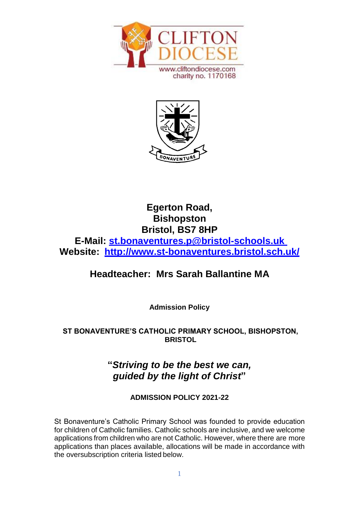



# **Egerton Road, Bishopston Bristol, BS7 8HP E-Mail: [st.bonaventures.p@bristol-schools.uk](mailto:st.bonaventures.p@bristol-schools.uk)  Website: <http://www.st-bonaventures.bristol.sch.uk/>**

# **Headteacher: Mrs Sarah Ballantine MA**

**Admission Policy**

# **ST BONAVENTURE'S CATHOLIC PRIMARY SCHOOL, BISHOPSTON, BRISTOL**

# **"***Striving to be the best we can, guided by the light of Christ***"**

# **ADMISSION POLICY 2021-22**

St Bonaventure's Catholic Primary School was founded to provide education for children of Catholic families. Catholic schools are inclusive, and we welcome applications from children who are not Catholic. However, where there are more applications than places available, allocations will be made in accordance with the oversubscription criteria listed below.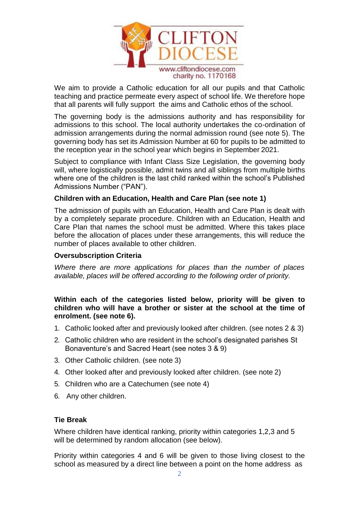

We aim to provide a Catholic education for all our pupils and that Catholic teaching and practice permeate every aspect of school life. We therefore hope that all parents will fully support the aims and Catholic ethos of the school.

The governing body is the admissions authority and has responsibility for admissions to this school. The local authority undertakes the co-ordination of admission arrangements during the normal admission round (see note 5). The governing body has set its Admission Number at 60 for pupils to be admitted to the reception year in the school year which begins in September 2021.

Subject to compliance with Infant Class Size Legislation, the governing body will, where logistically possible, admit twins and all siblings from multiple births where one of the children is the last child ranked within the school's Published Admissions Number ("PAN").

#### **Children with an Education, Health and Care Plan (see note 1)**

The admission of pupils with an Education, Health and Care Plan is dealt with by a completely separate procedure. Children with an Education, Health and Care Plan that names the school must be admitted. Where this takes place before the allocation of places under these arrangements, this will reduce the number of places available to other children.

#### **Oversubscription Criteria**

*Where there are more applications for places than the number of places available, places will be offered according to the following order of priority.*

**Within each of the categories listed below, priority will be given to children who will have a brother or sister at the school at the time of enrolment. (see note 6).**

- 1. Catholic looked after and previously looked after children. (see notes 2 & 3)
- 2. Catholic children who are resident in the school's designated parishes St Bonaventure's and Sacred Heart (see notes 3 & 9)
- 3. Other Catholic children. (see note 3)
- 4. Other looked after and previously looked after children. (see note 2)
- 5. Children who are a Catechumen (see note 4)
- 6. Any other children.

#### **Tie Break**

Where children have identical ranking, priority within categories 1,2,3 and 5 will be determined by random allocation (see below).

Priority within categories 4 and 6 will be given to those living closest to the school as measured by a direct line between a point on the home address as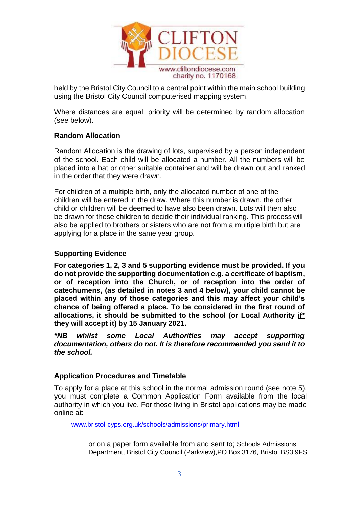

held by the Bristol City Council to a central point within the main school building using the Bristol City Council computerised mapping system.

Where distances are equal, priority will be determined by random allocation (see below).

### **Random Allocation**

Random Allocation is the drawing of lots, supervised by a person independent of the school. Each child will be allocated a number. All the numbers will be placed into a hat or other suitable container and will be drawn out and ranked in the order that they were drawn.

For children of a multiple birth, only the allocated number of one of the children will be entered in the draw. Where this number is drawn, the other child or children will be deemed to have also been drawn. Lots will then also be drawn for these children to decide their individual ranking. This process will also be applied to brothers or sisters who are not from a multiple birth but are applying for a place in the same year group.

### **Supporting Evidence**

**For categories 1, 2, 3 and 5 supporting evidence must be provided. If you do not provide the supporting documentation e.g. a certificate of baptism, or of reception into the Church, or of reception into the order of catechumens, (as detailed in notes 3 and 4 below), your child cannot be placed within any of those categories and this may affect your child's chance of being offered a place. To be considered in the first round of allocations, it should be submitted to the school (or Local Authority if\* they will accept it) by 15 January 2021.**

*\*NB whilst some Local Authorities may accept supporting documentation, others do not. It is therefore recommended you send it to the school.*

#### **Application Procedures and Timetable**

To apply for a place at this school in the normal admission round (see note 5), you must complete a Common Application Form available from the local authority in which you live. For those living in Bristol applications may be made online at:

[www.bristol-cyps.org.uk/schools/admissions/primary.html](http://www.bristol-cyps.org.uk/schools/admissions/primary.html)

or on a paper form available from and sent to; Schools Admissions Department, Bristol City Council (Parkview),PO Box 3176, Bristol BS3 9FS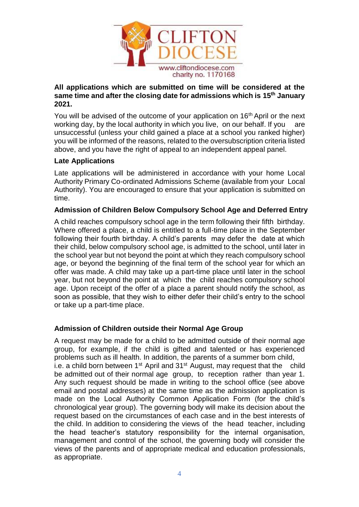

### **All applications which are submitted on time will be considered at the same time and after the closing date for admissions which is 15th January 2021.**

You will be advised of the outcome of your application on 16<sup>th</sup> April or the next working day, by the local authority in which you live, on our behalf. If you are unsuccessful (unless your child gained a place at a school you ranked higher) you will be informed of the reasons, related to the oversubscription criteria listed above, and you have the right of appeal to an independent appeal panel.

# **Late Applications**

Late applications will be administered in accordance with your home Local Authority Primary Co-ordinated Admissions Scheme (available from your Local Authority). You are encouraged to ensure that your application is submitted on time.

### **Admission of Children Below Compulsory School Age and Deferred Entry**

A child reaches compulsory school age in the term following their fifth birthday. Where offered a place, a child is entitled to a full-time place in the September following their fourth birthday. A child's parents may defer the date at which their child, below compulsory school age, is admitted to the school, until later in the school year but not beyond the point at which they reach compulsory school age, or beyond the beginning of the final term of the school year for which an offer was made. A child may take up a part-time place until later in the school year, but not beyond the point at which the child reaches compulsory school age. Upon receipt of the offer of a place a parent should notify the school, as soon as possible, that they wish to either defer their child's entry to the school or take up a part-time place.

# **Admission of Children outside their Normal Age Group**

A request may be made for a child to be admitted outside of their normal age group, for example, if the child is gifted and talented or has experienced problems such as ill health. In addition, the parents of a summer born child, i.e. a child born between  $1^{st}$  April and  $31^{st}$  August, may request that the child be admitted out of their normal age group, to reception rather than year 1. Any such request should be made in writing to the school office (see above email and postal addresses) at the same time as the admission application is made on the Local Authority Common Application Form (for the child's chronological year group). The governing body will make its decision about the request based on the circumstances of each case and in the best interests of the child. In addition to considering the views of the head teacher, including the head teacher's statutory responsibility for the internal organisation, management and control of the school, the governing body will consider the views of the parents and of appropriate medical and education professionals, as appropriate.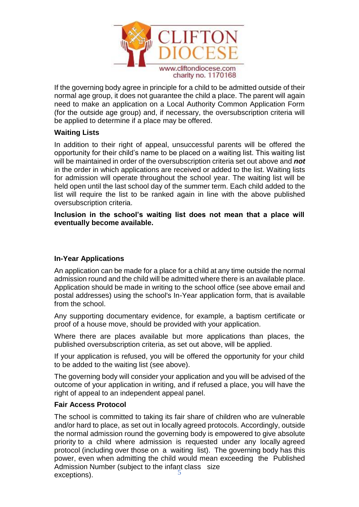

If the governing body agree in principle for a child to be admitted outside of their normal age group, it does not guarantee the child a place. The parent will again need to make an application on a Local Authority Common Application Form (for the outside age group) and, if necessary, the oversubscription criteria will be applied to determine if a place may be offered.

#### **Waiting Lists**

In addition to their right of appeal, unsuccessful parents will be offered the opportunity for their child's name to be placed on a waiting list. This waiting list will be maintained in order of the oversubscription criteria set out above and *not*  in the order in which applications are received or added to the list. Waiting lists for admission will operate throughout the school year. The waiting list will be held open until the last school day of the summer term. Each child added to the list will require the list to be ranked again in line with the above published oversubscription criteria.

**Inclusion in the school's waiting list does not mean that a place will eventually become available.**

# **In-Year Applications**

An application can be made for a place for a child at any time outside the normal admission round and the child will be admitted where there is an available place. Application should be made in writing to the school office (see above email and postal addresses) using the school's In-Year application form, that is available from the school.

Any supporting documentary evidence, for example, a baptism certificate or proof of a house move, should be provided with your application.

Where there are places available but more applications than places, the published oversubscription criteria, as set out above, will be applied.

If your application is refused, you will be offered the opportunity for your child to be added to the waiting list (see above).

The governing body will consider your application and you will be advised of the outcome of your application in writing, and if refused a place, you will have the right of appeal to an independent appeal panel.

#### **Fair Access Protocol**

The school is committed to taking its fair share of children who are vulnerable and/or hard to place, as set out in locally agreed protocols. Accordingly, outside the normal admission round the governing body is empowered to give absolute priority to a child where admission is requested under any locally agreed protocol (including over those on a waiting list). The governing body has this power, even when admitting the child would mean exceeding the Published Admission Number (subject to the infant class size exceptions).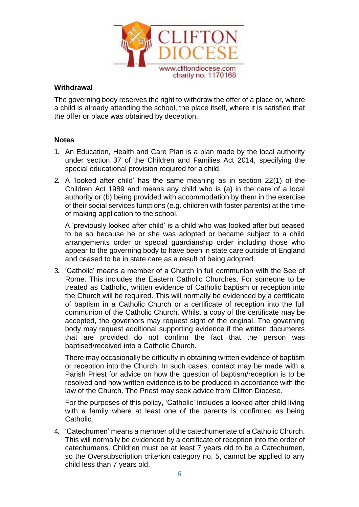

#### **Withdrawal**

The governing body reserves the right to withdraw the offer of a place or, where a child is already attending the school, the place itself, where it is satisfied that the offer or place was obtained by deception.

#### **Notes**

- 1. An Education, Health and Care Plan is a plan made by the local authority under section 37 of the Children and Families Act 2014, specifying the special educational provision required for a child.
- 2. A 'looked after child' has the same meaning as in section 22(1) of the Children Act 1989 and means any child who is (a) in the care of a local authority or (b) being provided with accommodation by them in the exercise of their social services functions (e.g. children with foster parents) at the time of making application to the school.

A 'previously looked after child' is a child who was looked after but ceased to be so because he or she was adopted or became subject to a child arrangements order or special guardianship order including those who appear to the governing body to have been in state care outside of England and ceased to be in state care as a result of being adopted.

3. 'Catholic' means a member of a Church in full communion with the See of Rome. This includes the Eastern Catholic Churches. For someone to be treated as Catholic, written evidence of Catholic baptism or reception into the Church will be required. This will normally be evidenced by a certificate of baptism in a Catholic Church or a certificate of reception into the full communion of the Catholic Church. Whilst a copy of the certificate may be accepted, the governors may request sight of the original. The governing body may request additional supporting evidence if the written documents that are provided do not confirm the fact that the person was baptised/received into a Catholic Church.

There may occasionally be difficulty in obtaining written evidence of baptism or reception into the Church. In such cases, contact may be made with a Parish Priest for advice on how the question of baptism/reception is to be resolved and how written evidence is to be produced in accordance with the law of the Church. The Priest may seek advice from Clifton Diocese.

For the purposes of this policy, 'Catholic' includes a looked after child living with a family where at least one of the parents is confirmed as being Catholic.

4. 'Catechumen' means a member of the catechumenate of a Catholic Church. This will normally be evidenced by a certificate of reception into the order of catechumens. Children must be at least 7 years old to be a Catechumen, so the Oversubscription criterion category no. 5, cannot be applied to any child less than 7 years old.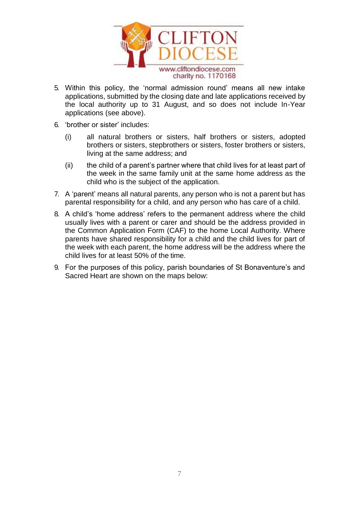

- 5. Within this policy, the 'normal admission round' means all new intake applications, submitted by the closing date and late applications received by the local authority up to 31 August, and so does not include In-Year applications (see above).
- 6. 'brother or sister' includes:
	- (i) all natural brothers or sisters, half brothers or sisters, adopted brothers or sisters, stepbrothers or sisters, foster brothers or sisters, living at the same address; and
	- (ii) the child of a parent's partner where that child lives for at least part of the week in the same family unit at the same home address as the child who is the subject of the application.
- 7. A 'parent' means all natural parents, any person who is not a parent but has parental responsibility for a child, and any person who has care of a child.
- 8. A child's 'home address' refers to the permanent address where the child usually lives with a parent or carer and should be the address provided in the Common Application Form (CAF) to the home Local Authority. Where parents have shared responsibility for a child and the child lives for part of the week with each parent, the home address will be the address where the child lives for at least 50% of the time.
- 9. For the purposes of this policy, parish boundaries of St Bonaventure's and Sacred Heart are shown on the maps below: